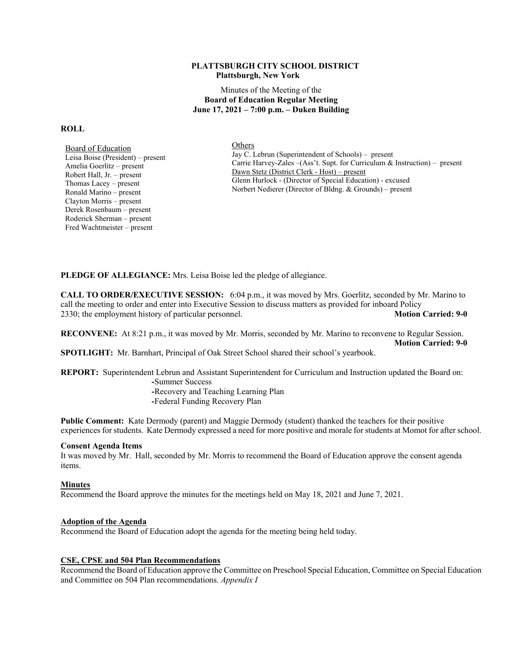#### **PLATTSBURGH CITY SCHOOL DISTRICT Plattsburgh, New York**

Minutes of the Meeting of the **Board of Education Regular Meeting June 17, 2021 – 7:00 p.m. – Duken Building** 

#### **ROLL**

Board of Education Leisa Boise (President) – present Amelia Goerlitz – present Robert Hall, Jr. – present Thomas Lacey – present Ronald Marino – present Clayton Morris – present Derek Rosenbaum – present Roderick Sherman – present Fred Wachtmeister – present

Others Jay C. Lebrun (Superintendent of Schools) – present Carrie Harvey-Zales –(Ass't. Supt. for Curriculum & Instruction) – present Dawn Stetz (District Clerk - Host) – present Glenn Hurlock - (Director of Special Education) - excused Norbert Nedierer (Director of Bldng. & Grounds) – present

**PLEDGE OF ALLEGIANCE:** Mrs. Leisa Boise led the pledge of allegiance.

**CALL TO ORDER/EXECUTIVE SESSION:** 6:04 p.m., it was moved by Mrs. Goerlitz, seconded by Mr. Marino to call the meeting to order and enter into Executive Session to discuss matters as provided for inboard Policy 2330; the employment history of particular personnel. **Motion Carried: 9-0 Motion Carried: 9-0** 

**RECONVENE:** At 8:21 p.m., it was moved by Mr. Morris, seconded by Mr. Marino to reconvene to Regular Session.  **Motion Carried: 9-0** 

**SPOTLIGHT:** Mr. Barnhart, Principal of Oak Street School shared their school's yearbook.

**REPORT:** Superintendent Lebrun and Assistant Superintendent for Curriculum and Instruction updated the Board on:  **-**Summer Success

 **-**Recovery and Teaching Learning Plan

 **-**Federal Funding Recovery Plan

**Public Comment:** Kate Dermody (parent) and Maggie Dermody (student) thanked the teachers for their positive experiences for students. Kate Dermody expressed a need for more positive and morale for students at Momot for after school.

# **Consent Agenda Items**

It was moved by Mr. Hall, seconded by Mr. Morris to recommend the Board of Education approve the consent agenda items.

#### **Minutes**

Recommend the Board approve the minutes for the meetings held on May 18, 2021 and June 7, 2021.

#### **Adoption of the Agenda**

Recommend the Board of Education adopt the agenda for the meeting being held today.

# **CSE, CPSE and 504 Plan Recommendations**

Recommend the Board of Education approve the Committee on Preschool Special Education, Committee on Special Education and Committee on 504 Plan recommendations. *Appendix I*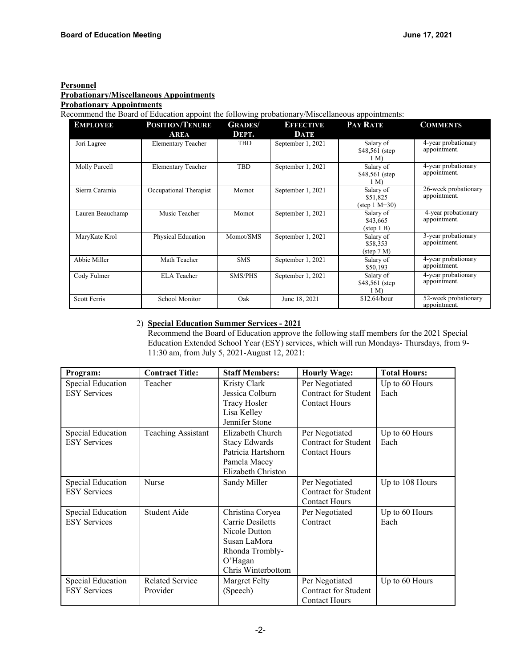#### **Personnel Probationary/Miscellaneous Appointments Probationary Appointments**

Recommend the Board of Education appoint the following probationary/Miscellaneous appointments:

| <b>EMPLOYEE</b>  | <b>POSITION/TENURE</b>    | <b>GRADES/</b> | <b>EFFECTIVE</b>  | <b>PAY RATE</b>                                       | <b>COMMENTS</b>                      |
|------------------|---------------------------|----------------|-------------------|-------------------------------------------------------|--------------------------------------|
|                  | <b>AREA</b>               | DEPT.          | DATE              |                                                       |                                      |
| Jori Lagree      | <b>Elementary Teacher</b> | <b>TBD</b>     | September 1, 2021 | Salary of<br>$$48,561$ (step<br>1 M                   | 4-year probationary<br>appointment.  |
| Molly Purcell    | <b>Elementary Teacher</b> | <b>TBD</b>     | September 1, 2021 | Salary of<br>\$48,561 (step)<br>1 M                   | 4-year probationary<br>appointment.  |
| Sierra Caramia   | Occupational Therapist    | Momot          | September 1, 2021 | Salary of<br>\$51,825<br>(step $1 M+30$ )             | 26-week probationary<br>appointment. |
| Lauren Beauchamp | Music Teacher             | Momot          | September 1, 2021 | Salary of<br>\$43,665<br>$(\text{step 1 B})$          | 4-year probationary<br>appointment.  |
| MaryKate Krol    | Physical Education        | Momot/SMS      | September 1, 2021 | Salary of<br>\$58,353<br>$(\text{step } 7 \text{ M})$ | 3-year probationary<br>appointment.  |
| Abbie Miller     | Math Teacher              | <b>SMS</b>     | September 1, 2021 | Salary of<br>\$50,193                                 | 4-year probationary<br>appointment.  |
| Cody Fulmer      | <b>ELA</b> Teacher        | <b>SMS/PHS</b> | September 1, 2021 | Salary of<br>\$48,561 (step)<br>1 M                   | 4-year probationary<br>appointment.  |
| Scott Ferris     | School Monitor            | Oak            | June 18, 2021     | \$12.64/hour                                          | 52-week probationary<br>appointment. |

# 2) **Special Education Summer Services - 2021**

Recommend the Board of Education approve the following staff members for the 2021 Special Education Extended School Year (ESY) services, which will run Mondays- Thursdays, from 9- 11:30 am, from July 5, 2021-August 12, 2021:

| Program:            | <b>Contract Title:</b>    | <b>Staff Members:</b> | <b>Hourly Wage:</b>         | <b>Total Hours:</b> |
|---------------------|---------------------------|-----------------------|-----------------------------|---------------------|
| Special Education   | Teacher                   | Kristy Clark          | Per Negotiated              | Up to 60 Hours      |
| <b>ESY Services</b> |                           | Jessica Colburn       | Contract for Student        | Each                |
|                     |                           | <b>Tracy Hosler</b>   | <b>Contact Hours</b>        |                     |
|                     |                           | Lisa Kelley           |                             |                     |
|                     |                           | Jennifer Stone        |                             |                     |
| Special Education   | <b>Teaching Assistant</b> | Elizabeth Church      | Per Negotiated              | Up to 60 Hours      |
| <b>ESY Services</b> |                           | <b>Stacy Edwards</b>  | <b>Contract for Student</b> | Each                |
|                     |                           | Patricia Hartshorn    | <b>Contact Hours</b>        |                     |
|                     |                           | Pamela Macey          |                             |                     |
|                     |                           | Elizabeth Christon    |                             |                     |
| Special Education   | Nurse                     | Sandy Miller          | Per Negotiated              | Up to 108 Hours     |
| <b>ESY Services</b> |                           |                       | <b>Contract for Student</b> |                     |
|                     |                           |                       | <b>Contact Hours</b>        |                     |
| Special Education   | Student Aide              | Christina Coryea      | Per Negotiated              | Up to 60 Hours      |
| <b>ESY Services</b> |                           | Carrie Desiletts      | Contract                    | Each                |
|                     |                           | Nicole Dutton         |                             |                     |
|                     |                           | Susan LaMora          |                             |                     |
|                     |                           | Rhonda Trombly-       |                             |                     |
|                     |                           | O'Hagan               |                             |                     |
|                     |                           | Chris Winterbottom    |                             |                     |
| Special Education   | <b>Related Service</b>    | Margret Felty         | Per Negotiated              | Up to 60 Hours      |
| <b>ESY Services</b> | Provider                  | (Speech)              | <b>Contract for Student</b> |                     |
|                     |                           |                       | <b>Contact Hours</b>        |                     |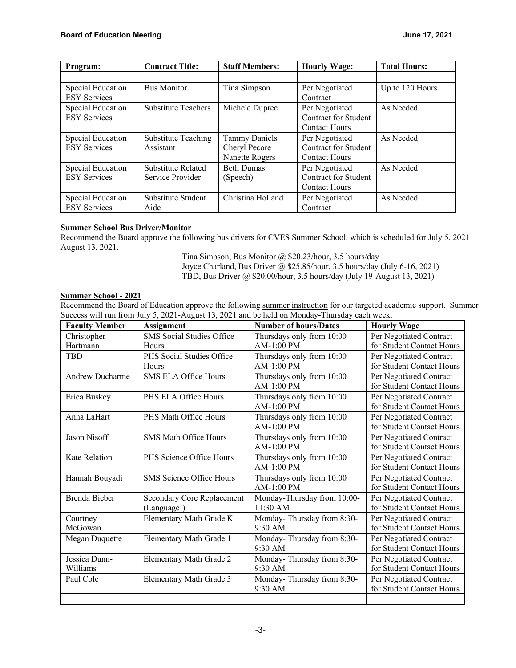| Program:            | <b>Contract Title:</b>     | <b>Staff Members:</b> | <b>Hourly Wage:</b>         | <b>Total Hours:</b> |
|---------------------|----------------------------|-----------------------|-----------------------------|---------------------|
|                     |                            |                       |                             |                     |
| Special Education   | <b>Bus Monitor</b>         | Tina Simpson          | Per Negotiated              | Up to 120 Hours     |
| <b>ESY Services</b> |                            |                       | Contract                    |                     |
| Special Education   | <b>Substitute Teachers</b> | Michele Dupree        | Per Negotiated              | As Needed           |
| <b>ESY Services</b> |                            |                       | <b>Contract for Student</b> |                     |
|                     |                            |                       | <b>Contact Hours</b>        |                     |
| Special Education   | <b>Substitute Teaching</b> | <b>Tammy Daniels</b>  | Per Negotiated              | As Needed           |
| <b>ESY Services</b> | Assistant                  | Cheryl Pecore         | <b>Contract for Student</b> |                     |
|                     |                            | Nanette Rogers        | <b>Contact Hours</b>        |                     |
| Special Education   | Substitute Related         | <b>Beth Dumas</b>     | Per Negotiated              | As Needed           |
| <b>ESY Services</b> | Service Provider           | (Speech)              | <b>Contract for Student</b> |                     |
|                     |                            |                       | <b>Contact Hours</b>        |                     |
| Special Education   | Substitute Student         | Christina Holland     | Per Negotiated              | As Needed           |
| <b>ESY Services</b> | Aide                       |                       | Contract                    |                     |

# **Summer School Bus Driver/Monitor**

Recommend the Board approve the following bus drivers for CVES Summer School, which is scheduled for July 5, 2021 – August 13, 2021.

> Tina Simpson, Bus Monitor @ \$20.23/hour, 3.5 hours/day Joyce Charland, Bus Driver  $\omega$ , \$25.85/hour, 3.5 hours/day (July 6-16, 2021) TBD, Bus Driver @ \$20.00/hour, 3.5 hours/day (July 19-August 13, 2021)

# **Summer School - 2021**

Recommend the Board of Education approve the following summer instruction for our targeted academic support. Summer Success will run from July 5, 2021-August 13, 2021 and be held on Monday-Thursday each week.

| <b>Faculty Member</b>     | <b>Assignment</b>                         | <b>Number of hours/Dates</b>              | <b>Hourly Wage</b>                                   |
|---------------------------|-------------------------------------------|-------------------------------------------|------------------------------------------------------|
| Christopher<br>Hartmann   | <b>SMS</b> Social Studies Office<br>Hours | Thursdays only from 10:00<br>$AM-1:00$ PM | Per Negotiated Contract<br>for Student Contact Hours |
| <b>TBD</b>                | PHS Social Studies Office<br>Hours        | Thursdays only from 10:00<br>$AM-1:00$ PM | Per Negotiated Contract<br>for Student Contact Hours |
| <b>Andrew Ducharme</b>    | <b>SMS ELA Office Hours</b>               | Thursdays only from 10:00<br>$AM-1:00 PM$ | Per Negotiated Contract<br>for Student Contact Hours |
| Erica Buskey              | PHS ELA Office Hours                      | Thursdays only from 10:00<br>$AM-1:00$ PM | Per Negotiated Contract<br>for Student Contact Hours |
| Anna LaHart               | PHS Math Office Hours                     | Thursdays only from 10:00<br>$AM-1:00 PM$ | Per Negotiated Contract<br>for Student Contact Hours |
| Jason Nisoff              | <b>SMS Math Office Hours</b>              | Thursdays only from 10:00<br>$AM-1:00 PM$ | Per Negotiated Contract<br>for Student Contact Hours |
| Kate Relation             | PHS Science Office Hours                  | Thursdays only from 10:00<br>AM-1:00 PM   | Per Negotiated Contract<br>for Student Contact Hours |
| Hannah Bouyadi            | <b>SMS</b> Science Office Hours           | Thursdays only from 10:00<br>$AM-1:00$ PM | Per Negotiated Contract<br>for Student Contact Hours |
| Brenda Bieber             | Secondary Core Replacement<br>(Language!) | Monday-Thursday from 10:00-<br>$11:30$ AM | Per Negotiated Contract<br>for Student Contact Hours |
| Courtney<br>McGowan       | Elementary Math Grade K                   | Monday-Thursday from 8:30-<br>9:30 AM     | Per Negotiated Contract<br>for Student Contact Hours |
| Megan Duquette            | Elementary Math Grade 1                   | Monday-Thursday from 8:30-<br>$9:30$ AM   | Per Negotiated Contract<br>for Student Contact Hours |
| Jessica Dunn-<br>Williams | Elementary Math Grade 2                   | Monday-Thursday from 8:30-<br>9:30 AM     | Per Negotiated Contract<br>for Student Contact Hours |
| Paul Cole                 | Elementary Math Grade 3                   | Monday-Thursday from 8:30-<br>9:30 AM     | Per Negotiated Contract<br>for Student Contact Hours |
|                           |                                           |                                           |                                                      |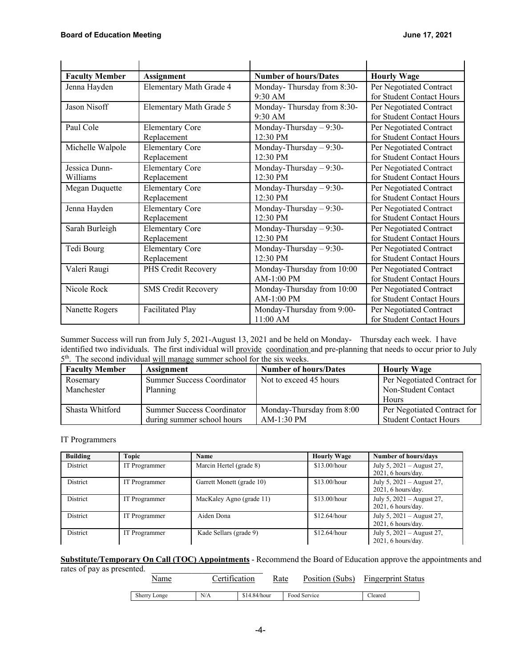| <b>Faculty Member</b> | <b>Assignment</b>          | <b>Number of hours/Dates</b>             | <b>Hourly Wage</b>                                   |
|-----------------------|----------------------------|------------------------------------------|------------------------------------------------------|
| Jenna Hayden          | Elementary Math Grade 4    | Monday-Thursday from 8:30-<br>$9:30$ AM  | Per Negotiated Contract<br>for Student Contact Hours |
| Jason Nisoff          | Elementary Math Grade 5    | Monday-Thursday from 8:30-<br>9:30 AM    | Per Negotiated Contract<br>for Student Contact Hours |
| Paul Cole             | <b>Elementary Core</b>     | Monday-Thursday $-9:30-$                 | Per Negotiated Contract                              |
|                       | Replacement                | 12:30 PM                                 | for Student Contact Hours                            |
| Michelle Walpole      | <b>Elementary Core</b>     | Monday-Thursday $-9:30-$                 | Per Negotiated Contract                              |
|                       | Replacement                | 12:30 PM                                 | for Student Contact Hours                            |
| Jessica Dunn-         | <b>Elementary Core</b>     | Monday-Thursday $-9:30-$                 | Per Negotiated Contract                              |
| Williams              | Replacement                | 12:30 PM                                 | for Student Contact Hours                            |
| Megan Duquette        | <b>Elementary Core</b>     | Monday-Thursday - 9:30-                  | Per Negotiated Contract                              |
|                       | Replacement                | 12:30 PM                                 | for Student Contact Hours                            |
| Jenna Hayden          | <b>Elementary Core</b>     | Monday-Thursday - 9:30-                  | Per Negotiated Contract                              |
|                       | Replacement                | 12:30 PM                                 | for Student Contact Hours                            |
| Sarah Burleigh        | <b>Elementary Core</b>     | Monday-Thursday $-9:30-$                 | Per Negotiated Contract                              |
|                       | Replacement                | 12:30 PM                                 | for Student Contact Hours                            |
| Tedi Bourg            | <b>Elementary Core</b>     | Monday-Thursday $-9:30-$                 | Per Negotiated Contract                              |
|                       | Replacement                | 12:30 PM                                 | for Student Contact Hours                            |
| Valeri Raugi          | PHS Credit Recovery        | Monday-Thursday from 10:00<br>AM-1:00 PM | Per Negotiated Contract<br>for Student Contact Hours |
| Nicole Rock           | <b>SMS Credit Recovery</b> | Monday-Thursday from 10:00<br>AM-1:00 PM | Per Negotiated Contract<br>for Student Contact Hours |
| Nanette Rogers        | <b>Facilitated Play</b>    | Monday-Thursday from 9:00-<br>11:00 AM   | Per Negotiated Contract<br>for Student Contact Hours |

Summer Success will run from July 5, 2021-August 13, 2021 and be held on Monday- Thursday each week. I have identified two individuals. The first individual will provide coordination and pre-planning that needs to occur prior to July  $5<sup>th</sup>$ . The second individual will manage summer school for the six weeks.

| <b>Faculty Member</b> | <b>Assignment</b>                 | <b>Number of hours/Dates</b> | <b>Hourly Wage</b>           |
|-----------------------|-----------------------------------|------------------------------|------------------------------|
| Rosemary              | Summer Success Coordinator        | Not to exceed 45 hours       | Per Negotiated Contract for  |
| Manchester            | Planning                          |                              | Non-Student Contact          |
|                       |                                   |                              | Hours                        |
| Shasta Whitford       | <b>Summer Success Coordinator</b> | Monday-Thursday from 8:00    | Per Negotiated Contract for  |
|                       | during summer school hours        | $AM-1:30$ PM                 | <b>Student Contact Hours</b> |

#### IT Programmers

| <b>Building</b> | Topic                | Name                      | <b>Hourly Wage</b> | Number of hours/days                                |
|-----------------|----------------------|---------------------------|--------------------|-----------------------------------------------------|
| District        | IT Programmer        | Marcin Hertel (grade 8)   | \$13.00/hour       | July 5, 2021 – August 27,<br>$2021, 6$ hours/day.   |
| District        | IT Programmer        | Garrett Monett (grade 10) | \$13.00/hour       | July 5, $2021 -$ August 27,<br>$2021, 6$ hours/day. |
| <b>District</b> | IT Programmer        | MacKaley Agno (grade 11)  | \$13.00/hour       | July 5, $2021 -$ August 27,<br>$2021, 6$ hours/day. |
| District        | <b>IT</b> Programmer | Aiden Dona                | \$12.64/hour       | July 5, 2021 – August 27,<br>$2021, 6$ hours/day.   |
| <b>District</b> | IT Programmer        | Kade Sellars (grade 9)    | \$12.64/hour       | July 5, $2021 -$ August 27,<br>$2021, 6$ hours/day. |

**Substitute/Temporary On Call (TOC) Appointments** - Recommend the Board of Education approve the appointments and

rates of pay as presented.

Name Certification Rate Position (Subs) Fingerprint Status

| Sherry<br>Longe<br>c | $ +$ $+$<br>N/A | .4.84/hour<br>ച-⊷ | service<br><b>FOO</b> | Cleared |
|----------------------|-----------------|-------------------|-----------------------|---------|
|                      |                 |                   |                       |         |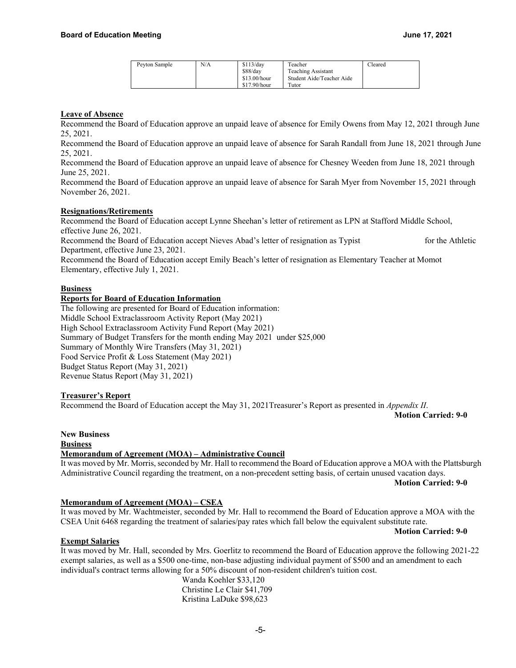| Peyton Sample | N/A | \$113/day    | Teacher                   | Cleared |
|---------------|-----|--------------|---------------------------|---------|
|               |     | \$88/day     | Teaching Assistant        |         |
|               |     | \$13.00/hour | Student Aide/Teacher Aide |         |
|               |     | \$17.90/hour | Tutor                     |         |

# **Leave of Absence**

Recommend the Board of Education approve an unpaid leave of absence for Emily Owens from May 12, 2021 through June 25, 2021.

Recommend the Board of Education approve an unpaid leave of absence for Sarah Randall from June 18, 2021 through June 25, 2021.

Recommend the Board of Education approve an unpaid leave of absence for Chesney Weeden from June 18, 2021 through June 25, 2021.

Recommend the Board of Education approve an unpaid leave of absence for Sarah Myer from November 15, 2021 through November 26, 2021.

# **Resignations/Retirements**

Recommend the Board of Education accept Lynne Sheehan's letter of retirement as LPN at Stafford Middle School, effective June 26, 2021.

Recommend the Board of Education accept Nieves Abad's letter of resignation as Typist for the Athletic Department, effective June 23, 2021.

Recommend the Board of Education accept Emily Beach's letter of resignation as Elementary Teacher at Momot Elementary, effective July 1, 2021.

#### **Business**

# **Reports for Board of Education Information**

The following are presented for Board of Education information: Middle School Extraclassroom Activity Report (May 2021) High School Extraclassroom Activity Fund Report (May 2021) Summary of Budget Transfers for the month ending May 2021 under \$25,000 Summary of Monthly Wire Transfers (May 31, 2021) Food Service Profit & Loss Statement (May 2021) Budget Status Report (May 31, 2021) Revenue Status Report (May 31, 2021)

# **Treasurer's Report**

Recommend the Board of Education accept the May 31, 2021Treasurer's Report as presented in *Appendix II*.

**Motion Carried: 9-0**

# **New Business**

**Business** 

# **Memorandum of Agreement (MOA) – Administrative Council**

It was moved by Mr. Morris, seconded by Mr. Hall to recommend the Board of Education approve a MOA with the Plattsburgh Administrative Council regarding the treatment, on a non-precedent setting basis, of certain unused vacation days.

**Motion Carried: 9-0**

#### **Memorandum of Agreement (MOA) – CSEA**

It was moved by Mr. Wachtmeister, seconded by Mr. Hall to recommend the Board of Education approve a MOA with the CSEA Unit 6468 regarding the treatment of salaries/pay rates which fall below the equivalent substitute rate.

#### **Exempt Salaries**

It was moved by Mr. Hall, seconded by Mrs. Goerlitz to recommend the Board of Education approve the following 2021-22 exempt salaries, as well as a \$500 one-time, non-base adjusting individual payment of \$500 and an amendment to each individual's contract terms allowing for a 50% discount of non-resident children's tuition cost.

Wanda Koehler \$33,120 Christine Le Clair \$41,709 Kristina LaDuke \$98,623

**Motion Carried: 9-0**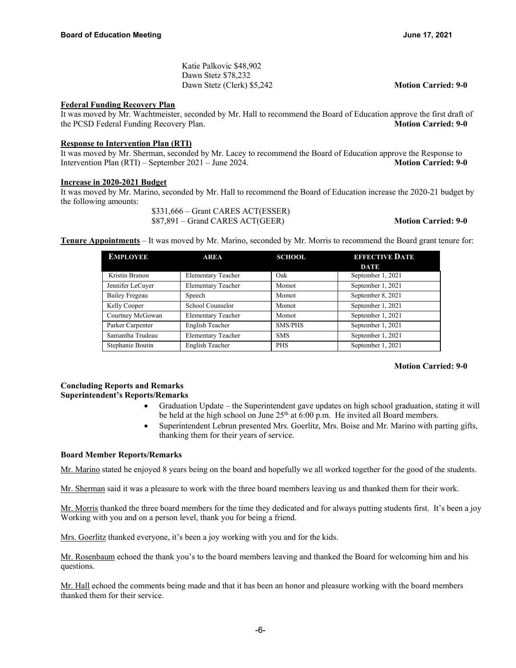Katie Palkovic \$48,902 Dawn Stetz \$78,232 Dawn Stetz (Clerk) \$5,242 **Motion Carried: 9-0**

#### **Federal Funding Recovery Plan**

It was moved by Mr. Wachtmeister, seconded by Mr. Hall to recommend the Board of Education approve the first draft of the PCSD Federal Funding Recovery Plan. **Motion Carried: 9-0** 

## **Response to Intervention Plan (RTI)**

It was moved by Mr. Sherman, seconded by Mr. Lacey to recommend the Board of Education approve the Response to Intervention Plan (RTI) – September 2021 – June 2024. **Motion Carried: 9-0** 

#### **Increase in 2020-2021 Budget**

It was moved by Mr. Marino, seconded by Mr. Hall to recommend the Board of Education increase the 2020-21 budget by the following amounts:

> \$331,666 – Grant CARES ACT(ESSER) \$87,891 – Grand CARES ACT(GEER) **Motion Carried: 9-0**

**Tenure Appointments** – It was moved by Mr. Marino, seconded by Mr. Morris to recommend the Board grant tenure for:

| <b>EMPLOYEE</b>  | <b>AREA</b>               | <b>SCHOOL</b> | <b>EFFECTIVE DATE</b> |
|------------------|---------------------------|---------------|-----------------------|
|                  |                           |               | <b>DATE</b>           |
| Kristin Branon   | <b>Elementary Teacher</b> | Oak           | September 1, 2021     |
| Jennifer LeCuyer | <b>Elementary Teacher</b> | Momot         | September 1, 2021     |
| Bailey Fregeau   | Speech                    | Momot         | September 8, 2021     |
| Kelly Cooper     | School Counselor          | Momot         | September 1, 2021     |
| Courtney McGowan | <b>Elementary Teacher</b> | Momot         | September 1, 2021     |
| Parker Carpenter | English Teacher           | SMS/PHS       | September 1, 2021     |
| Samantha Trudeau | <b>Elementary Teacher</b> | <b>SMS</b>    | September 1, 2021     |
| Stephanie Boutin | English Teacher           | <b>PHS</b>    | September 1, 2021     |

# **Motion Carried: 9-0**

# **Concluding Reports and Remarks Superintendent's Reports/Remarks**

- Graduation Update the Superintendent gave updates on high school graduation, stating it will be held at the high school on June  $25<sup>th</sup>$  at 6:00 p.m. He invited all Board members.
- Superintendent Lebrun presented Mrs. Goerlitz, Mrs. Boise and Mr. Marino with parting gifts, thanking them for their years of service.

# **Board Member Reports/Remarks**

Mr. Marino stated he enjoyed 8 years being on the board and hopefully we all worked together for the good of the students.

Mr. Sherman said it was a pleasure to work with the three board members leaving us and thanked them for their work.

Mr. Morris thanked the three board members for the time they dedicated and for always putting students first. It's been a joy Working with you and on a person level, thank you for being a friend.

Mrs. Goerlitz thanked everyone, it's been a joy working with you and for the kids.

Mr. Rosenbaum echoed the thank you's to the board members leaving and thanked the Board for welcoming him and his questions.

Mr. Hall echoed the comments being made and that it has been an honor and pleasure working with the board members thanked them for their service.